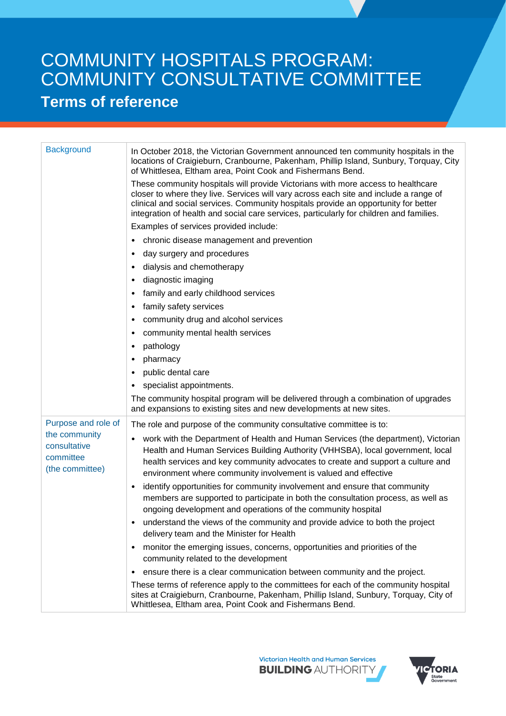## COMMUNITY HOSPITALS PROGRAM: COMMUNITY CONSULTATIVE COMMITTEE **Terms of reference**

| <b>Background</b>                                             | In October 2018, the Victorian Government announced ten community hospitals in the<br>locations of Craigieburn, Cranbourne, Pakenham, Phillip Island, Sunbury, Torquay, City<br>of Whittlesea, Eltham area, Point Cook and Fishermans Bend.                                                                                                                 |
|---------------------------------------------------------------|-------------------------------------------------------------------------------------------------------------------------------------------------------------------------------------------------------------------------------------------------------------------------------------------------------------------------------------------------------------|
|                                                               | These community hospitals will provide Victorians with more access to healthcare<br>closer to where they live. Services will vary across each site and include a range of<br>clinical and social services. Community hospitals provide an opportunity for better<br>integration of health and social care services, particularly for children and families. |
|                                                               | Examples of services provided include:                                                                                                                                                                                                                                                                                                                      |
|                                                               | chronic disease management and prevention<br>$\bullet$                                                                                                                                                                                                                                                                                                      |
|                                                               | day surgery and procedures<br>$\bullet$                                                                                                                                                                                                                                                                                                                     |
|                                                               | dialysis and chemotherapy<br>$\bullet$                                                                                                                                                                                                                                                                                                                      |
|                                                               | diagnostic imaging<br>$\bullet$                                                                                                                                                                                                                                                                                                                             |
|                                                               | family and early childhood services<br>$\bullet$                                                                                                                                                                                                                                                                                                            |
|                                                               | family safety services<br>$\bullet$                                                                                                                                                                                                                                                                                                                         |
|                                                               | community drug and alcohol services<br>$\bullet$                                                                                                                                                                                                                                                                                                            |
|                                                               | community mental health services<br>$\bullet$                                                                                                                                                                                                                                                                                                               |
|                                                               | pathology<br>$\bullet$                                                                                                                                                                                                                                                                                                                                      |
|                                                               | pharmacy<br>$\bullet$                                                                                                                                                                                                                                                                                                                                       |
|                                                               | public dental care<br>$\bullet$                                                                                                                                                                                                                                                                                                                             |
|                                                               | specialist appointments.<br>$\bullet$                                                                                                                                                                                                                                                                                                                       |
|                                                               | The community hospital program will be delivered through a combination of upgrades<br>and expansions to existing sites and new developments at new sites.                                                                                                                                                                                                   |
| Purpose and role of                                           | The role and purpose of the community consultative committee is to:                                                                                                                                                                                                                                                                                         |
| the community<br>consultative<br>committee<br>(the committee) | work with the Department of Health and Human Services (the department), Victorian<br>$\bullet$<br>Health and Human Services Building Authority (VHHSBA), local government, local<br>health services and key community advocates to create and support a culture and<br>environment where community involvement is valued and effective                      |
|                                                               | identify opportunities for community involvement and ensure that community<br>$\bullet$<br>members are supported to participate in both the consultation process, as well as<br>ongoing development and operations of the community hospital                                                                                                                |
|                                                               | understand the views of the community and provide advice to both the project<br>delivery team and the Minister for Health                                                                                                                                                                                                                                   |
|                                                               | monitor the emerging issues, concerns, opportunities and priorities of the<br>$\bullet$<br>community related to the development                                                                                                                                                                                                                             |
|                                                               | ensure there is a clear communication between community and the project.<br>$\bullet$                                                                                                                                                                                                                                                                       |
|                                                               | These terms of reference apply to the committees for each of the community hospital<br>sites at Craigieburn, Cranbourne, Pakenham, Phillip Island, Sunbury, Torquay, City of<br>Whittlesea, Eltham area, Point Cook and Fishermans Bend.                                                                                                                    |
|                                                               |                                                                                                                                                                                                                                                                                                                                                             |

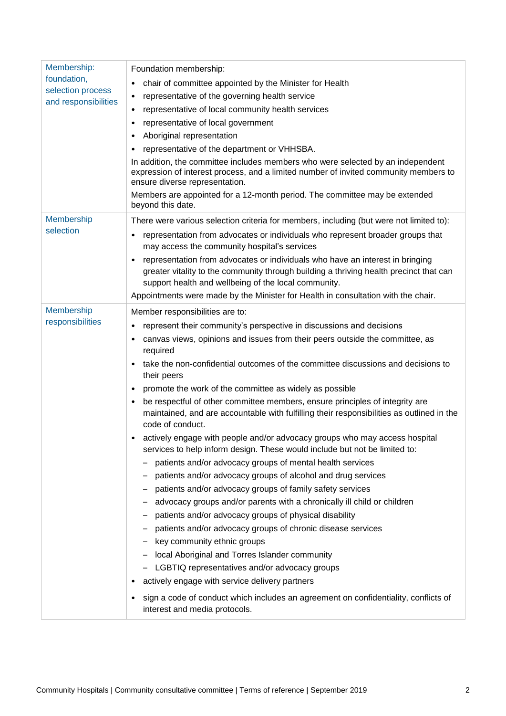| Membership:<br>foundation,<br>selection process<br>and responsibilities | Foundation membership:<br>chair of committee appointed by the Minister for Health<br>٠<br>representative of the governing health service<br>٠<br>representative of local community health services<br>٠<br>representative of local government<br>٠<br>Aboriginal representation<br>٠<br>representative of the department or VHHSBA.<br>٠<br>In addition, the committee includes members who were selected by an independent<br>expression of interest process, and a limited number of invited community members to<br>ensure diverse representation.<br>Members are appointed for a 12-month period. The committee may be extended<br>beyond this date.                                                                                                                                                                                                                                                                                                                                                                                                                                                                                                                                                                                                                                                                                                                                                                                                                     |
|-------------------------------------------------------------------------|------------------------------------------------------------------------------------------------------------------------------------------------------------------------------------------------------------------------------------------------------------------------------------------------------------------------------------------------------------------------------------------------------------------------------------------------------------------------------------------------------------------------------------------------------------------------------------------------------------------------------------------------------------------------------------------------------------------------------------------------------------------------------------------------------------------------------------------------------------------------------------------------------------------------------------------------------------------------------------------------------------------------------------------------------------------------------------------------------------------------------------------------------------------------------------------------------------------------------------------------------------------------------------------------------------------------------------------------------------------------------------------------------------------------------------------------------------------------------|
| Membership<br>selection                                                 | There were various selection criteria for members, including (but were not limited to):<br>representation from advocates or individuals who represent broader groups that<br>٠<br>may access the community hospital's services<br>representation from advocates or individuals who have an interest in bringing<br>$\bullet$<br>greater vitality to the community through building a thriving health precinct that can<br>support health and wellbeing of the local community.<br>Appointments were made by the Minister for Health in consultation with the chair.                                                                                                                                                                                                                                                                                                                                                                                                                                                                                                                                                                                                                                                                                                                                                                                                                                                                                                          |
| Membership<br>responsibilities                                          | Member responsibilities are to:<br>represent their community's perspective in discussions and decisions<br>٠<br>canvas views, opinions and issues from their peers outside the committee, as<br>required<br>take the non-confidential outcomes of the committee discussions and decisions to<br>their peers<br>promote the work of the committee as widely as possible<br>$\bullet$<br>be respectful of other committee members, ensure principles of integrity are<br>$\bullet$<br>maintained, and are accountable with fulfilling their responsibilities as outlined in the<br>code of conduct.<br>actively engage with people and/or advocacy groups who may access hospital<br>services to help inform design. These would include but not be limited to:<br>patients and/or advocacy groups of mental health services<br>patients and/or advocacy groups of alcohol and drug services<br>patients and/or advocacy groups of family safety services<br>advocacy groups and/or parents with a chronically ill child or children<br>patients and/or advocacy groups of physical disability<br>patients and/or advocacy groups of chronic disease services<br>key community ethnic groups<br>local Aboriginal and Torres Islander community<br>LGBTIQ representatives and/or advocacy groups<br>actively engage with service delivery partners<br>sign a code of conduct which includes an agreement on confidentiality, conflicts of<br>٠<br>interest and media protocols. |